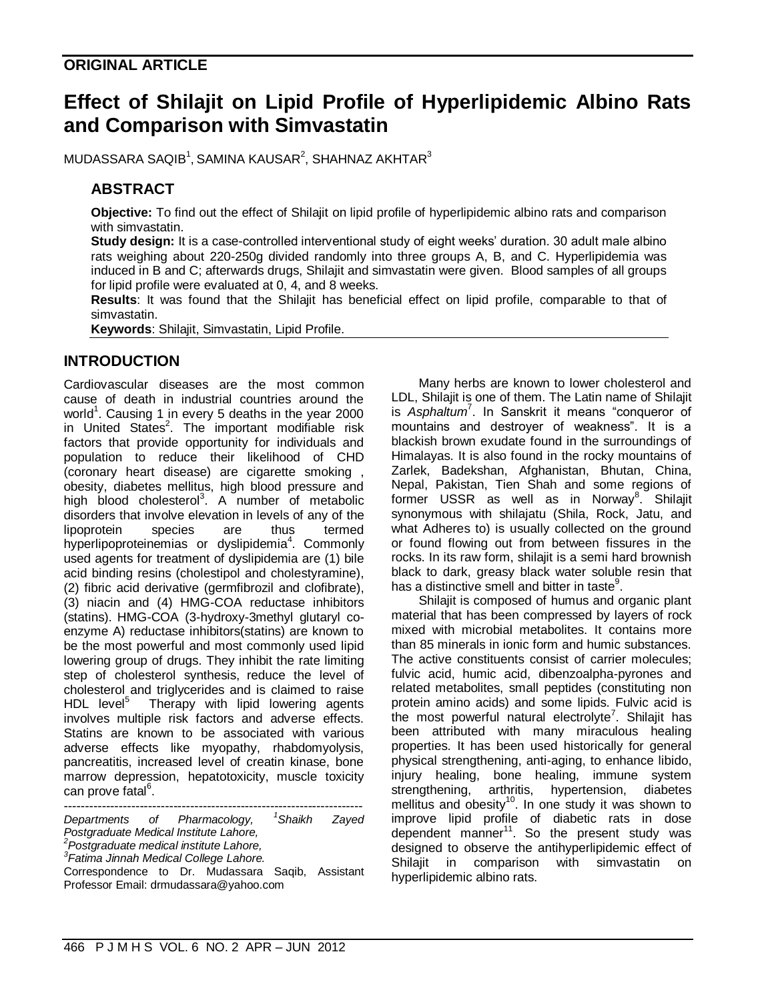## **ORIGINAL ARTICLE**

# **Effect of Shilajit on Lipid Profile of Hyperlipidemic Albino Rats and Comparison with Simvastatin**

MUDASSARA SAQIB $^1$ , SAMINA KAUSAR $^2$ , SHAHNAZ AKHTAR $^3$ 

## **ABSTRACT**

**Objective:** To find out the effect of Shilajit on lipid profile of hyperlipidemic albino rats and comparison with simvastatin.

**Study design:** It is a case-controlled interventional study of eight weeks' duration. 30 adult male albino rats weighing about 220-250g divided randomly into three groups A, B, and C. Hyperlipidemia was induced in B and C; afterwards drugs, Shilajit and simvastatin were given. Blood samples of all groups for lipid profile were evaluated at 0, 4, and 8 weeks.

**Results**: It was found that the Shilajit has beneficial effect on lipid profile, comparable to that of simvastatin.

**Keywords**: Shilajit, Simvastatin, Lipid Profile.

#### **INTRODUCTION**

Cardiovascular diseases are the most common cause of death in industrial countries around the world<sup>1</sup>. Causing 1 in every 5 deaths in the year 2000 in United States<sup>2</sup>. The important modifiable risk factors that provide opportunity for individuals and population to reduce their likelihood of CHD (coronary heart disease) are cigarette smoking , obesity, diabetes mellitus, high blood pressure and high blood cholesterol<sup>3</sup>. A number of metabolic disorders that involve elevation in levels of any of the lipoprotein species are thus termed hyperlipoproteinemias or dyslipidemia<sup>4</sup>. Commonly used agents for treatment of dyslipidemia are (1) bile acid binding resins (cholestipol and cholestyramine), (2) fibric acid derivative (germfibrozil and clofibrate), (3) niacin and (4) HMG-COA reductase inhibitors (statins). HMG-COA (3-hydroxy-3methyl glutaryl coenzyme A) reductase inhibitors(statins) are known to be the most powerful and most commonly used lipid lowering group of drugs. They inhibit the rate limiting step of cholesterol synthesis, reduce the level of cholesterol and triglycerides and is claimed to raise  $HDL$  level<sup>5</sup> Therapy with lipid lowering agents involves multiple risk factors and adverse effects. Statins are known to be associated with various adverse effects like myopathy, rhabdomyolysis, pancreatitis, increased level of creatin kinase, bone marrow depression, hepatotoxicity, muscle toxicity can prove fatal<sup>6</sup>.

----------------------------------------------------------------------- *Departments of Pharmacology, <sup>1</sup>Shaikh Zayed Postgraduate Medical Institute Lahore, <sup>2</sup>Postgraduate medical institute Lahore, 3 Fatima Jinnah Medical College Lahore.*

Correspondence to Dr. Mudassara Saqib, Assistant Professor Email: drmudassara@yahoo.com

Many herbs are known to lower cholesterol and LDL, Shilajit is one of them. The Latin name of Shilajit is *Asphaltum*<sup>7</sup> . In Sanskrit it means "conqueror of mountains and destroyer of weakness". It is a blackish brown exudate found in the surroundings of Himalayas. It is also found in the rocky mountains of Zarlek, Badekshan, Afghanistan, Bhutan, China, Nepal, Pakistan, Tien Shah and some regions of former USSR as well as in Norway<sup>8</sup>. Shilajit synonymous with shilajatu (Shila, Rock, Jatu, and what Adheres to) is usually collected on the ground or found flowing out from between fissures in the rocks. In its raw form, shilajit is a semi hard brownish black to dark, greasy black water soluble resin that has a distinctive smell and bitter in taste $9$ .

Shilajit is composed of humus and organic plant material that has been compressed by layers of rock mixed with microbial metabolites. It contains more than 85 minerals in ionic form and humic substances. The active constituents consist of carrier molecules; fulvic acid, humic acid, dibenzoalpha-pyrones and related metabolites, small peptides (constituting non protein amino acids) and some lipids. Fulvic acid is the most powerful natural electrolyte<sup>7</sup>. Shilajit has been attributed with many miraculous healing properties. It has been used historically for general physical strengthening, anti-aging, to enhance libido, injury healing, bone healing, immune system strengthening, arthritis, hypertension, diabetes mellitus and obesity<sup>10</sup>. In one study it was shown to improve lipid profile of diabetic rats in dose dependent manner<sup>11</sup>. So the present study was designed to observe the antihyperlipidemic effect of Shilajit in comparison with simvastatin on hyperlipidemic albino rats.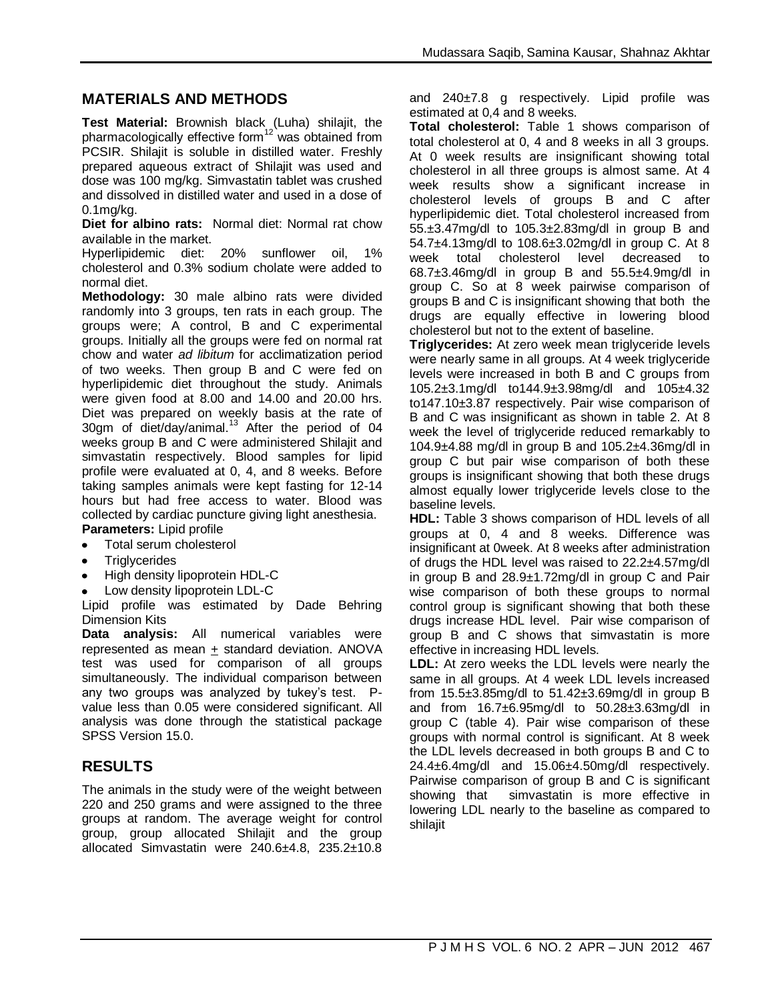## **MATERIALS AND METHODS**

**Test Material:** Brownish black (Luha) shilajit, the pharmacologically effective form $12$  was obtained from PCSIR. Shilajit is soluble in distilled water. Freshly prepared aqueous extract of Shilajit was used and dose was 100 mg/kg. Simvastatin tablet was crushed and dissolved in distilled water and used in a dose of 0.1mg/kg.

**Diet for albino rats:** Normal diet: Normal rat chow available in the market.

Hyperlipidemic diet: 20% sunflower oil, 1% cholesterol and 0.3% sodium cholate were added to normal diet.

**Methodology:** 30 male albino rats were divided randomly into 3 groups, ten rats in each group. The groups were; A control, B and C experimental groups. Initially all the groups were fed on normal rat chow and water *ad libitum* for acclimatization period of two weeks. Then group B and C were fed on hyperlipidemic diet throughout the study. Animals were given food at 8.00 and 14.00 and 20.00 hrs. Diet was prepared on weekly basis at the rate of 30gm of diet/day/animal. $13$  After the period of 04 weeks group B and C were administered Shilajit and simvastatin respectively. Blood samples for lipid profile were evaluated at 0, 4, and 8 weeks. Before taking samples animals were kept fasting for 12-14 hours but had free access to water. Blood was collected by cardiac puncture giving light anesthesia. **Parameters:** Lipid profile

- Total serum cholesterol
- **Triglycerides**
- High density lipoprotein HDL-C
- Low density lipoprotein LDL-C

Lipid profile was estimated by Dade Behring Dimension Kits

**Data analysis:** All numerical variables were represented as mean + standard deviation. ANOVA test was used for comparison of all groups simultaneously. The individual comparison between any two groups was analyzed by tukey's test. Pvalue less than 0.05 were considered significant. All analysis was done through the statistical package SPSS Version 15.0.

#### **RESULTS**

The animals in the study were of the weight between 220 and 250 grams and were assigned to the three groups at random. The average weight for control group, group allocated Shilajit and the group allocated Simvastatin were 240.6±4.8, 235.2±10.8 and 240±7.8 g respectively. Lipid profile was estimated at 0,4 and 8 weeks.

**Total cholesterol:** Table 1 shows comparison of total cholesterol at 0, 4 and 8 weeks in all 3 groups. At 0 week results are insignificant showing total cholesterol in all three groups is almost same. At 4 week results show a significant increase in cholesterol levels of groups B and C after hyperlipidemic diet. Total cholesterol increased from 55.±3.47mg/dl to 105.3±2.83mg/dl in group B and 54.7±4.13mg/dl to 108.6±3.02mg/dl in group C. At 8 week total cholesterol level decreased to 68.7±3.46mg/dl in group B and 55.5±4.9mg/dl in group C. So at 8 week pairwise comparison of groups B and C is insignificant showing that both the drugs are equally effective in lowering blood cholesterol but not to the extent of baseline.

**Triglycerides:** At zero week mean triglyceride levels were nearly same in all groups. At 4 week triglyceride levels were increased in both B and C groups from 105.2±3.1mg/dl to144.9±3.98mg/dl and 105±4.32 to147.10±3.87 respectively. Pair wise comparison of B and C was insignificant as shown in table 2. At 8 week the level of triglyceride reduced remarkably to 104.9±4.88 mg/dl in group B and 105.2±4.36mg/dl in group C but pair wise comparison of both these groups is insignificant showing that both these drugs almost equally lower triglyceride levels close to the baseline levels.

**HDL:** Table 3 shows comparison of HDL levels of all groups at 0, 4 and 8 weeks. Difference was insignificant at 0week. At 8 weeks after administration of drugs the HDL level was raised to 22.2±4.57mg/dl in group B and 28.9±1.72mg/dl in group C and Pair wise comparison of both these groups to normal control group is significant showing that both these drugs increase HDL level. Pair wise comparison of group B and C shows that simvastatin is more effective in increasing HDL levels.

**LDL:** At zero weeks the LDL levels were nearly the same in all groups. At 4 week LDL levels increased from  $15.5\pm3.85$ mg/dl to  $51.42\pm3.69$ mg/dl in group B and from 16.7±6.95mg/dl to 50.28±3.63mg/dl in group C (table 4). Pair wise comparison of these groups with normal control is significant. At 8 week the LDL levels decreased in both groups B and C to  $24.4\pm 6.4$ mg/dl and  $15.06\pm 4.50$ mg/dl respectively. Pairwise comparison of group B and C is significant showing that simvastatin is more effective in lowering LDL nearly to the baseline as compared to shilajit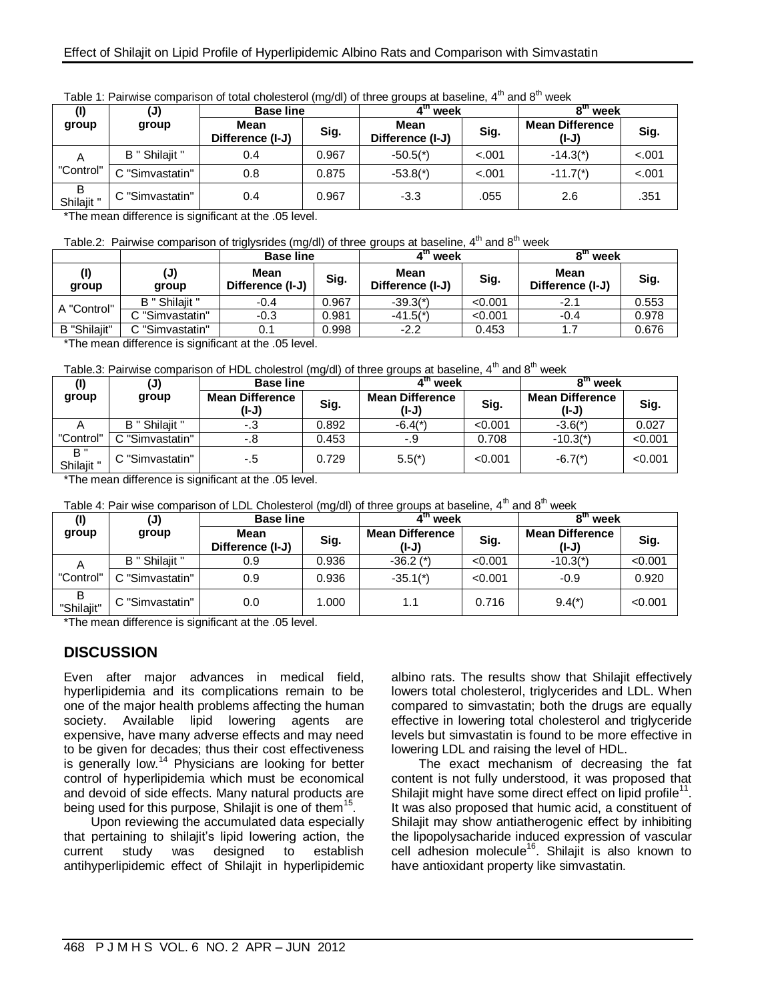|                 | (J)             | <b>Base line</b>         |       | ₫m,<br>week              |         | 8 <sup>tn</sup> week            |         |
|-----------------|-----------------|--------------------------|-------|--------------------------|---------|---------------------------------|---------|
| group           | group           | Mean<br>Difference (I-J) | Sig.  | Mean<br>Difference (I-J) | Sig.    | <b>Mean Difference</b><br>(I-J) | Sig.    |
| A               | B " Shilajit "  | 0.4                      | 0.967 | $-50.5(*)$               | $-.001$ | $-14.3(*)$                      | $-.001$ |
| "Control"       | C "Simvastatin" | 0.8                      | 0.875 | $-53.8(*)$               | $-.001$ | $-11.7(*)$                      | $-.001$ |
| B<br>Shilajit " | C "Simvastatin" | 0.4                      | 0.967 | $-3.3$                   | .055    | 2.6                             | .351    |

|  | Table 1: Pairwise comparison of total cholesterol (mg/dl) of three groups at baseline, 4 <sup>th</sup> and 8 <sup>th</sup> week |  |
|--|---------------------------------------------------------------------------------------------------------------------------------|--|
|--|---------------------------------------------------------------------------------------------------------------------------------|--|

\*The mean difference is significant at the .05 level.

| Table.2: Pairwise comparison of triglysrides (mg/dl) of three groups at baseline, 4 <sup>th</sup> and 8 <sup>th</sup> week |  |
|----------------------------------------------------------------------------------------------------------------------------|--|
|----------------------------------------------------------------------------------------------------------------------------|--|

|              |                 | <b>Base line</b>         |       | $4th$ week                      |         | oth<br>week              |       |
|--------------|-----------------|--------------------------|-------|---------------------------------|---------|--------------------------|-------|
| group        | (J)<br>group    | Mean<br>Difference (I-J) | Sig.  | <b>Mean</b><br>Difference (I-J) | Sig.    | Mean<br>Difference (I-J) | Sig.  |
| A "Control"  | B " Shilaiit "  | $-0.4$                   | 0.967 | $-39.3(*)$                      | < 0.001 | $-2.1$                   | 0.553 |
|              | C "Simvastatin" | $-0.3$                   | 0.981 | $-41.5($ <sup>*</sup> )         | < 0.001 | $-0.4$                   | 0.978 |
| B "Shilaiit" | C "Simvastatin" |                          | 0.998 | $-2.2$                          | 0.453   | 1.7                      | 0.676 |

\*The mean difference is significant at the .05 level.

| Table.3: Pairwise comparison of HDL cholestrol (mg/dl) of three groups at baseline, 4 <sup>th</sup> and 8 <sup>th</sup> week |  |  |
|------------------------------------------------------------------------------------------------------------------------------|--|--|
|------------------------------------------------------------------------------------------------------------------------------|--|--|

|                   | $(\mathsf{J})$  | <b>Base line</b>                |       | ∡m.<br>week                     |         | o <sup>th</sup><br>week         |         |
|-------------------|-----------------|---------------------------------|-------|---------------------------------|---------|---------------------------------|---------|
| group             | group           | <b>Mean Difference</b><br>(I-J) | Sig.  | <b>Mean Difference</b><br>(I-J) | Sig.    | <b>Mean Difference</b><br>(I-J) | Sig.    |
|                   | B " Shilajit "  | -.3                             | 0.892 | $-6.4(*)$                       | < 0.001 | $-3.6($ *)                      | 0.027   |
| "Control"         | C "Simvastatin" | -.8                             | 0.453 | -.9                             | 0.708   | $-10.3(*)$                      | < 0.001 |
| B "<br>Shilajit " | C "Simvastatin" | -.5                             | 0.729 | $5.5(*)$                        | < 0.001 | $-6.7(*)$                       | < 0.001 |

\*The mean difference is significant at the .05 level.

| Table 4: Pair wise comparison of LDL Cholesterol (mg/dl) of three groups at baseline, $4^{\text{th}}$ and $8^{\text{th}}$ week |  |
|--------------------------------------------------------------------------------------------------------------------------------|--|
|--------------------------------------------------------------------------------------------------------------------------------|--|

| (I)             | (J)             | <b>Base line</b>         |       | 4 <sup>m</sup> week             |         | oth<br>week                     |         |
|-----------------|-----------------|--------------------------|-------|---------------------------------|---------|---------------------------------|---------|
| group           | group           | Mean<br>Difference (I-J) | Sig.  | <b>Mean Difference</b><br>(I-J) | Sig.    | <b>Mean Difference</b><br>(I-J) | Sig.    |
| A               | B " Shilaiit "  | 0.9                      | 0.936 | $-36.2$ (*)                     | < 0.001 | $-10.3($ <sup>*</sup> )         | < 0.001 |
| "Control"       | C "Simvastatin" | 0.9                      | 0.936 | $-35.1(*)$                      | < 0.001 | $-0.9$                          | 0.920   |
| в<br>"Shilaiit" | C "Simvastatin" | 0.0                      | 1.000 | 1.1                             | 0.716   | $9.4(*)$                        | < 0.001 |

\*The mean difference is significant at the .05 level.

#### **DISCUSSION**

Even after major advances in medical field, hyperlipidemia and its complications remain to be one of the major health problems affecting the human society. Available lipid lowering agents are expensive, have many adverse effects and may need to be given for decades; thus their cost effectiveness is generally low.<sup>14</sup> Physicians are looking for better control of hyperlipidemia which must be economical and devoid of side effects. Many natural products are being used for this purpose, Shilajit is one of them<sup>15</sup>.

Upon reviewing the accumulated data especially that pertaining to shilajit's lipid lowering action, the current study was designed to establish antihyperlipidemic effect of Shilajit in hyperlipidemic albino rats. The results show that Shilajit effectively lowers total cholesterol, triglycerides and LDL. When compared to simvastatin; both the drugs are equally effective in lowering total cholesterol and triglyceride levels but simvastatin is found to be more effective in lowering LDL and raising the level of HDL.

The exact mechanism of decreasing the fat content is not fully understood, it was proposed that Shilajit might have some direct effect on lipid profile<sup>11</sup>. It was also proposed that humic acid, a constituent of Shilajit may show antiatherogenic effect by inhibiting the lipopolysacharide induced expression of vascular cell adhesion molecule<sup>16</sup>. Shilajit is also known to have antioxidant property like simvastatin.